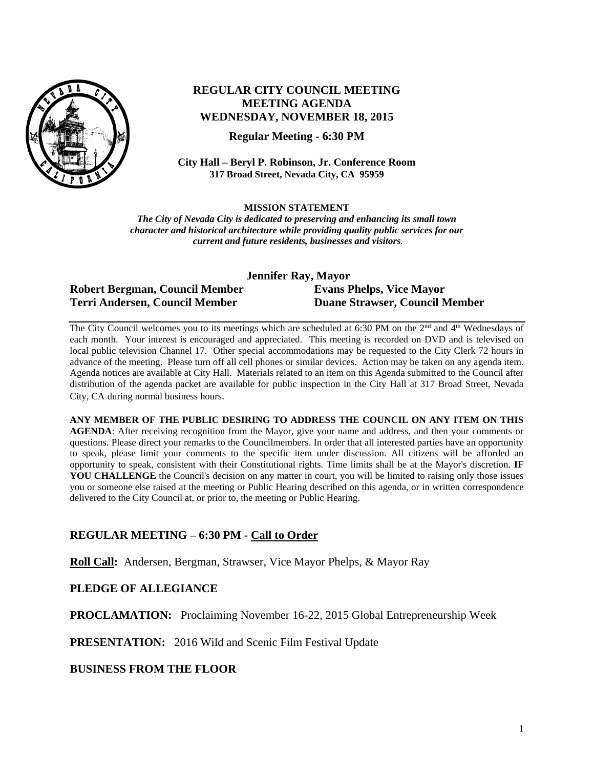

# **REGULAR CITY COUNCIL MEETING MEETING AGENDA WEDNESDAY, NOVEMBER 18, 2015**

**Regular Meeting - 6:30 PM**

**City Hall – Beryl P. Robinson, Jr. Conference Room 317 Broad Street, Nevada City, CA 95959**

**MISSION STATEMENT**

*The City of Nevada City is dedicated to preserving and enhancing its small town character and historical architecture while providing quality public services for our current and future residents, businesses and visitors.*

**Jennifer Ray, Mayor**

## **Robert Bergman, Council Member Evans Phelps, Vice Mayor Terri Andersen, Council Member Duane Strawser, Council Member**

The City Council welcomes you to its meetings which are scheduled at 6:30 PM on the 2<sup>nd</sup> and 4<sup>th</sup> Wednesdays of each month. Your interest is encouraged and appreciated. This meeting is recorded on DVD and is televised on local public television Channel 17. Other special accommodations may be requested to the City Clerk 72 hours in advance of the meeting. Please turn off all cell phones or similar devices. Action may be taken on any agenda item. Agenda notices are available at City Hall. Materials related to an item on this Agenda submitted to the Council after distribution of the agenda packet are available for public inspection in the City Hall at 317 Broad Street, Nevada City, CA during normal business hours.

**ANY MEMBER OF THE PUBLIC DESIRING TO ADDRESS THE COUNCIL ON ANY ITEM ON THIS AGENDA**: After receiving recognition from the Mayor, give your name and address, and then your comments or questions. Please direct your remarks to the Councilmembers. In order that all interested parties have an opportunity to speak, please limit your comments to the specific item under discussion. All citizens will be afforded an opportunity to speak, consistent with their Constitutional rights. Time limits shall be at the Mayor's discretion. **IF**  YOU CHALLENGE the Council's decision on any matter in court, you will be limited to raising only those issues you or someone else raised at the meeting or Public Hearing described on this agenda, or in written correspondence delivered to the City Council at, or prior to, the meeting or Public Hearing.

# **REGULAR MEETING – 6:30 PM - Call to Order**

**Roll Call:** Andersen, Bergman, Strawser, Vice Mayor Phelps, & Mayor Ray

## **PLEDGE OF ALLEGIANCE**

**PROCLAMATION:** Proclaiming November 16-22, 2015 Global Entrepreneurship Week

**PRESENTATION:** 2016 Wild and Scenic Film Festival Update

**BUSINESS FROM THE FLOOR**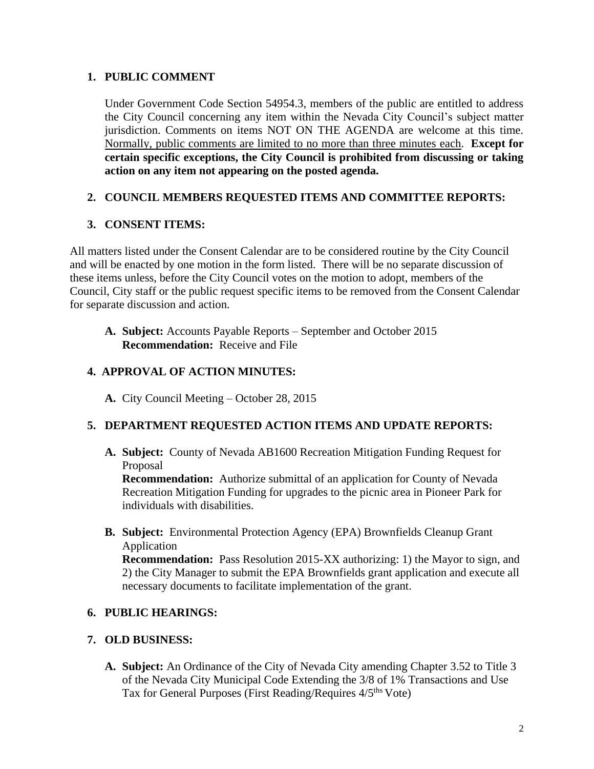## **1. PUBLIC COMMENT**

Under Government Code Section 54954.3, members of the public are entitled to address the City Council concerning any item within the Nevada City Council's subject matter jurisdiction. Comments on items NOT ON THE AGENDA are welcome at this time. Normally, public comments are limited to no more than three minutes each. **Except for certain specific exceptions, the City Council is prohibited from discussing or taking action on any item not appearing on the posted agenda.**

# **2. COUNCIL MEMBERS REQUESTED ITEMS AND COMMITTEE REPORTS:**

# **3. CONSENT ITEMS:**

All matters listed under the Consent Calendar are to be considered routine by the City Council and will be enacted by one motion in the form listed. There will be no separate discussion of these items unless, before the City Council votes on the motion to adopt, members of the Council, City staff or the public request specific items to be removed from the Consent Calendar for separate discussion and action.

**A. Subject:** Accounts Payable Reports – September and October 2015 **Recommendation:** Receive and File

## **4. APPROVAL OF ACTION MINUTES:**

**A.** City Council Meeting – October 28, 2015

# **5. DEPARTMENT REQUESTED ACTION ITEMS AND UPDATE REPORTS:**

**A. Subject:** County of Nevada AB1600 Recreation Mitigation Funding Request for Proposal

**Recommendation:** Authorize submittal of an application for County of Nevada Recreation Mitigation Funding for upgrades to the picnic area in Pioneer Park for individuals with disabilities.

**B. Subject:** Environmental Protection Agency (EPA) Brownfields Cleanup Grant Application

**Recommendation:** Pass Resolution 2015-XX authorizing: 1) the Mayor to sign, and 2) the City Manager to submit the EPA Brownfields grant application and execute all necessary documents to facilitate implementation of the grant.

## **6. PUBLIC HEARINGS:**

## **7. OLD BUSINESS:**

**A. Subject:** An Ordinance of the City of Nevada City amending Chapter 3.52 to Title 3 of the Nevada City Municipal Code Extending the 3/8 of 1% Transactions and Use Tax for General Purposes (First Reading/Requires 4/5<sup>ths</sup> Vote)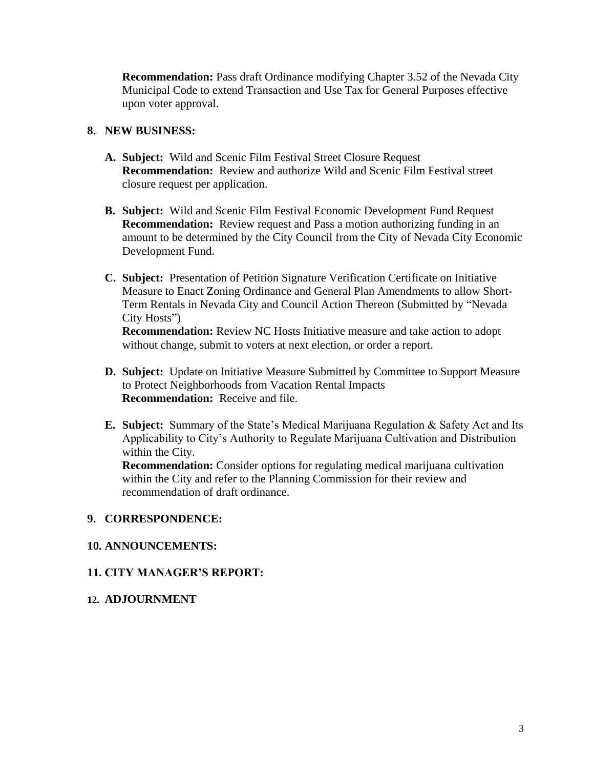**Recommendation:** Pass draft Ordinance modifying Chapter 3.52 of the Nevada City Municipal Code to extend Transaction and Use Tax for General Purposes effective upon voter approval.

#### **8. NEW BUSINESS:**

- **A. Subject:** Wild and Scenic Film Festival Street Closure Request **Recommendation:** Review and authorize Wild and Scenic Film Festival street closure request per application.
- **B. Subject:** Wild and Scenic Film Festival Economic Development Fund Request **Recommendation:** Review request and Pass a motion authorizing funding in an amount to be determined by the City Council from the City of Nevada City Economic Development Fund.
- **C. Subject:** Presentation of Petition Signature Verification Certificate on Initiative Measure to Enact Zoning Ordinance and General Plan Amendments to allow Short-Term Rentals in Nevada City and Council Action Thereon (Submitted by "Nevada City Hosts")

**Recommendation:** Review NC Hosts Initiative measure and take action to adopt without change, submit to voters at next election, or order a report.

- **D. Subject:** Update on Initiative Measure Submitted by Committee to Support Measure to Protect Neighborhoods from Vacation Rental Impacts **Recommendation:** Receive and file.
- **E. Subject:** Summary of the State's Medical Marijuana Regulation & Safety Act and Its Applicability to City's Authority to Regulate Marijuana Cultivation and Distribution within the City.

**Recommendation:** Consider options for regulating medical marijuana cultivation within the City and refer to the Planning Commission for their review and recommendation of draft ordinance.

#### **9. CORRESPONDENCE:**

#### **10. ANNOUNCEMENTS:**

## **11. CITY MANAGER'S REPORT:**

#### **12. ADJOURNMENT**